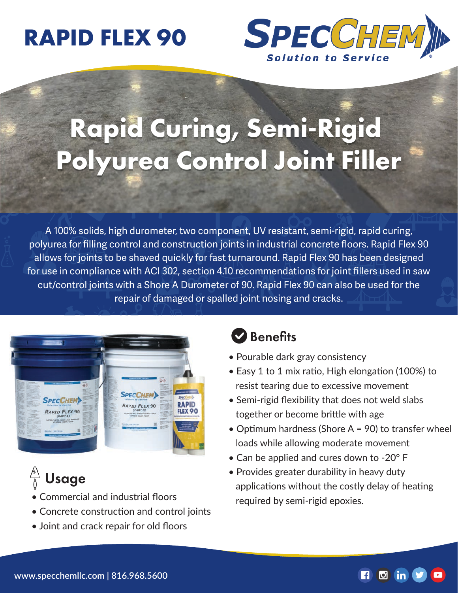# **RAPID FLEX 90**



# **Rapid Curing, Semi-Rigid Polyurea Control Joint Filler**

A 100% solids, high durometer, two component, UV resistant, semi-rigid, rapid curing, polyurea for filling control and construction joints in industrial concrete floors. Rapid Flex 90 allows for joints to be shaved quickly for fast turnaround. Rapid Flex 90 has been designed for use in compliance with ACI 302, section 4.10 recommendations for joint fillers used in saw cut/control joints with a Shore A Durometer of 90. Rapid Flex 90 can also be used for the repair of damaged or spalled joint nosing and cracks.



# Usage

- Commercial and industrial floors
- Concrete construction and control joints
- Joint and crack repair for old floors

#### **D** Benefits

- Pourable dark gray consistency
- Easy 1 to 1 mix ratio, High elongation (100%) to resist tearing due to excessive movement
- Semi-rigid flexibility that does not weld slabs together or become brittle with age
- Optimum hardness (Shore A = 90) to transfer wheel loads while allowing moderate movement
- Can be applied and cures down to -20° F
- Provides greater durability in heavy duty applications without the costly delay of heating required by semi-rigid epoxies.